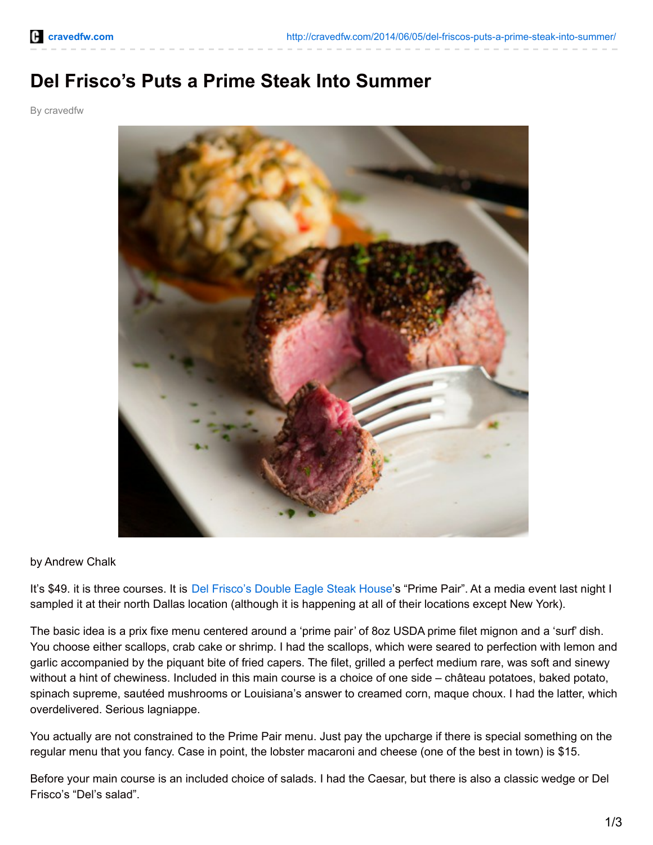## **Del Frisco's Puts a Prime Steak Into Summer**

By cravedfw



## by Andrew Chalk

It's \$49. it is three courses. It is Del [Frisco's](http://delfriscos.com/) Double Eagle Steak House's "Prime Pair". At a media event last night I sampled it at their north Dallas location (although it is happening at all of their locations except New York).

The basic idea is a prix fixe menu centered around a 'prime pair' of 8oz USDA prime filet mignon and a 'surf' dish. You choose either scallops, crab cake or shrimp. I had the scallops, which were seared to perfection with lemon and garlic accompanied by the piquant bite of fried capers. The filet, grilled a perfect medium rare, was soft and sinewy without a hint of chewiness. Included in this main course is a choice of one side – château potatoes, baked potato, spinach supreme, sautéed mushrooms or Louisiana's answer to creamed corn, maque choux. I had the latter, which overdelivered. Serious lagniappe.

You actually are not constrained to the Prime Pair menu. Just pay the upcharge if there is special something on the regular menu that you fancy. Case in point, the lobster macaroni and cheese (one of the best in town) is \$15.

Before your main course is an included choice of salads. I had the Caesar, but there is also a classic wedge or Del Frisco's "Del's salad".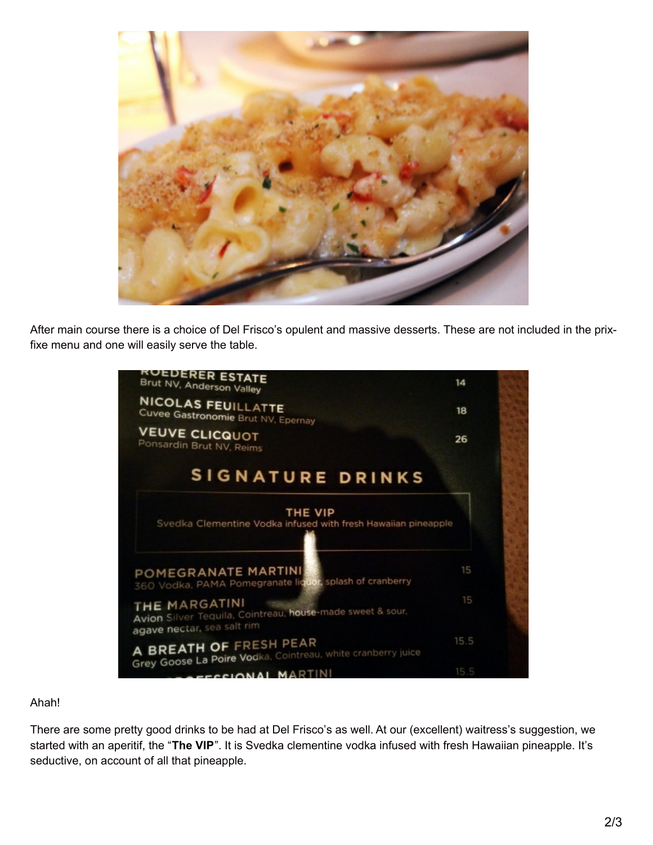

After main course there is a choice of Del Frisco's opulent and massive desserts. These are not included in the prixfixe menu and one will easily serve the table.



## Ahah!

There are some pretty good drinks to be had at Del Frisco's as well. At our (excellent) waitress's suggestion, we started with an aperitif, the "**The VIP**". It is Svedka clementine vodka infused with fresh Hawaiian pineapple. It's seductive, on account of all that pineapple.